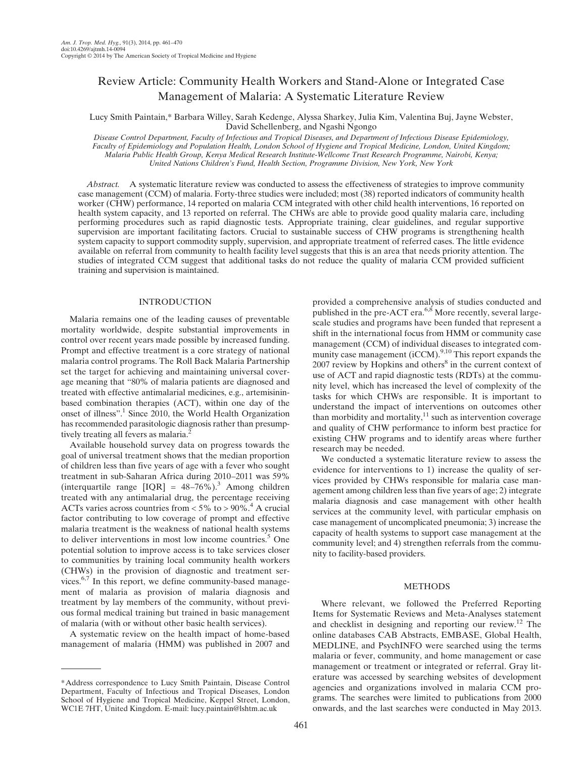# Review Article: Community Health Workers and Stand-Alone or Integrated Case Management of Malaria: A Systematic Literature Review

Lucy Smith Paintain,\* Barbara Willey, Sarah Kedenge, Alyssa Sharkey, Julia Kim, Valentina Buj, Jayne Webster, David Schellenberg, and Ngashi Ngongo

Disease Control Department, Faculty of Infectious and Tropical Diseases, and Department of Infectious Disease Epidemiology, Faculty of Epidemiology and Population Health, London School of Hygiene and Tropical Medicine, London, United Kingdom; Malaria Public Health Group, Kenya Medical Research Institute-Wellcome Trust Research Programme, Nairobi, Kenya; United Nations Children's Fund, Health Section, Programme Division, New York, New York

Abstract. A systematic literature review was conducted to assess the effectiveness of strategies to improve community case management (CCM) of malaria. Forty-three studies were included; most (38) reported indicators of community health worker (CHW) performance, 14 reported on malaria CCM integrated with other child health interventions, 16 reported on health system capacity, and 13 reported on referral. The CHWs are able to provide good quality malaria care, including performing procedures such as rapid diagnostic tests. Appropriate training, clear guidelines, and regular supportive supervision are important facilitating factors. Crucial to sustainable success of CHW programs is strengthening health system capacity to support commodity supply, supervision, and appropriate treatment of referred cases. The little evidence available on referral from community to health facility level suggests that this is an area that needs priority attention. The studies of integrated CCM suggest that additional tasks do not reduce the quality of malaria CCM provided sufficient training and supervision is maintained.

## INTRODUCTION

Malaria remains one of the leading causes of preventable mortality worldwide, despite substantial improvements in control over recent years made possible by increased funding. Prompt and effective treatment is a core strategy of national malaria control programs. The Roll Back Malaria Partnership set the target for achieving and maintaining universal coverage meaning that "80% of malaria patients are diagnosed and treated with effective antimalarial medicines, e.g., artemisininbased combination therapies (ACT), within one day of the onset of illness".1 Since 2010, the World Health Organization has recommended parasitologic diagnosis rather than presumptively treating all fevers as malaria.<sup>2</sup>

Available household survey data on progress towards the goal of universal treatment shows that the median proportion of children less than five years of age with a fever who sought treatment in sub-Saharan Africa during 2010–2011 was 59% (interquartile range  $[IQR] = 48-76\%$ ).<sup>3</sup> Among children treated with any antimalarial drug, the percentage receiving ACTs varies across countries from  $< 5\%$  to  $> 90\%$ .<sup>4</sup> A crucial factor contributing to low coverage of prompt and effective malaria treatment is the weakness of national health systems to deliver interventions in most low income countries.<sup>5</sup> One potential solution to improve access is to take services closer to communities by training local community health workers (CHWs) in the provision of diagnostic and treatment services.6,7 In this report, we define community-based management of malaria as provision of malaria diagnosis and treatment by lay members of the community, without previous formal medical training but trained in basic management of malaria (with or without other basic health services).

A systematic review on the health impact of home-based management of malaria (HMM) was published in 2007 and provided a comprehensive analysis of studies conducted and published in the pre-ACT era. $6,6$  More recently, several largescale studies and programs have been funded that represent a shift in the international focus from HMM or community case management (CCM) of individual diseases to integrated community case management (iCCM).<sup>9,10</sup> This report expands the  $2007$  review by Hopkins and others $8$  in the current context of use of ACT and rapid diagnostic tests (RDTs) at the community level, which has increased the level of complexity of the tasks for which CHWs are responsible. It is important to understand the impact of interventions on outcomes other than morbidity and mortality, $11$  such as intervention coverage and quality of CHW performance to inform best practice for existing CHW programs and to identify areas where further research may be needed.

We conducted a systematic literature review to assess the evidence for interventions to 1) increase the quality of services provided by CHWs responsible for malaria case management among children less than five years of age; 2) integrate malaria diagnosis and case management with other health services at the community level, with particular emphasis on case management of uncomplicated pneumonia; 3) increase the capacity of health systems to support case management at the community level; and 4) strengthen referrals from the community to facility-based providers.

#### **METHODS**

Where relevant, we followed the Preferred Reporting Items for Systematic Reviews and Meta-Analyses statement and checklist in designing and reporting our review.<sup>12</sup> The online databases CAB Abstracts, EMBASE, Global Health, MEDLINE, and PsychINFO were searched using the terms malaria or fever, community, and home management or case management or treatment or integrated or referral. Gray literature was accessed by searching websites of development agencies and organizations involved in malaria CCM programs. The searches were limited to publications from 2000 onwards, and the last searches were conducted in May 2013.

<sup>\*</sup>Address correspondence to Lucy Smith Paintain, Disease Control Department, Faculty of Infectious and Tropical Diseases, London School of Hygiene and Tropical Medicine, Keppel Street, London, WC1E 7HT, United Kingdom. E-mail: lucy.paintain@lshtm.ac.uk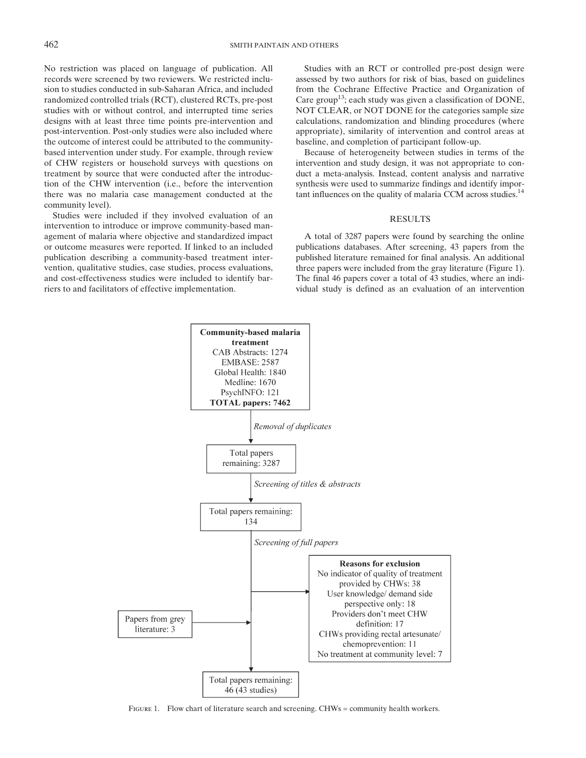No restriction was placed on language of publication. All records were screened by two reviewers. We restricted inclusion to studies conducted in sub-Saharan Africa, and included randomized controlled trials (RCT), clustered RCTs, pre-post studies with or without control, and interrupted time series designs with at least three time points pre-intervention and post-intervention. Post-only studies were also included where the outcome of interest could be attributed to the communitybased intervention under study. For example, through review of CHW registers or household surveys with questions on treatment by source that were conducted after the introduction of the CHW intervention (i.e., before the intervention there was no malaria case management conducted at the community level).

Studies were included if they involved evaluation of an intervention to introduce or improve community-based management of malaria where objective and standardized impact or outcome measures were reported. If linked to an included publication describing a community-based treatment intervention, qualitative studies, case studies, process evaluations, and cost-effectiveness studies were included to identify barriers to and facilitators of effective implementation.

Studies with an RCT or controlled pre-post design were assessed by two authors for risk of bias, based on guidelines from the Cochrane Effective Practice and Organization of Care group<sup>13</sup>; each study was given a classification of DONE, NOT CLEAR, or NOT DONE for the categories sample size calculations, randomization and blinding procedures (where appropriate), similarity of intervention and control areas at baseline, and completion of participant follow-up.

Because of heterogeneity between studies in terms of the intervention and study design, it was not appropriate to conduct a meta-analysis. Instead, content analysis and narrative synthesis were used to summarize findings and identify important influences on the quality of malaria CCM across studies. $14$ 

### RESULTS

A total of 3287 papers were found by searching the online publications databases. After screening, 43 papers from the published literature remained for final analysis. An additional three papers were included from the gray literature (Figure 1). The final 46 papers cover a total of 43 studies, where an individual study is defined as an evaluation of an intervention



FIGURE 1. Flow chart of literature search and screening. CHWs = community health workers.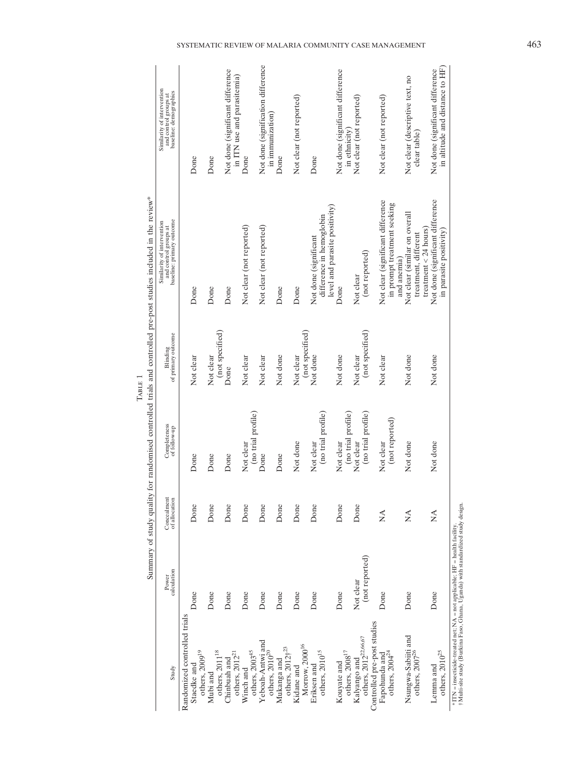| Not done (significant difference<br>Not done (significant difference<br>Not done (significant difference<br>in ITN use and parasitemia)<br>Not clear (descriptive text, no<br>Similarity of intervention<br>and control groups at<br>baseline: demographics<br>Not clear (not reported)<br>Not clear (not reported)<br>Not clear (not reported)<br>in immunization)<br>in ethnicity)<br>clear table)<br>Done<br>Done<br>Done<br>Done<br>Done<br>Not clear (significant difference<br>Not done (significant difference<br>in prompt treatment seeking<br>level and parasite positivity)<br>Not clear (similar on overall<br>difference in hemoglobin<br>baseline: primary outcome<br>Similarity of intervention<br>and control groups at<br>Not clear (not reported)<br>Not clear (not reported)<br>treatment $<$ 24 hours)<br>in parasite positivity)<br>treatment, different<br>Not done (significant<br>(not reported)<br>and anemia)<br>Not clear<br>Done<br>Done<br>Done<br>Done<br>Done<br>Done<br>(not specified)<br>(not specified)<br>(not specified)<br>Blinding<br>of primary outcome<br>Not done<br>Not clear<br>Not done<br>Not clear<br>Not done<br>Not clear<br>Not done<br>Not clear<br>Not clear<br>Not done<br>Not clear<br>Not clear<br>Done<br>(no trial profile)<br>(no trial profile)<br>(no trial profile)<br>(no trial profile)<br>(not reported)<br>Completeness<br>of follow-up<br>Not clear<br>Not clear<br>Not done<br>Not clear<br>Not done<br>Not done<br>Not clear<br>Not clear<br>Done<br>Done<br>Done<br>Done<br>Done<br>Concealment<br>of allocation<br>Done<br>Done<br>Done<br>Done<br>Done<br>Done<br>Done<br>Done<br>Done<br>Done<br>$\mathbb{X}^{\mathsf{A}}$<br>$\mathop{\leq}\limits_{{\mathop{\bf{Z}}}}$<br>$\mathbb{X}^{\mathsf{A}}$<br>(not reported)<br>calculation<br>Power<br>Not clear<br>Done<br>Done<br>Done<br>Done<br>Done<br>Done<br>Done<br>Done<br>Done<br>Done<br>Done<br>Done<br>Randomized controlled trials<br>Nsungwa-Sabiiti and<br>others, $2012^{22,66,67}\,$<br>Yeboah-Antwi and<br>Morrow, 2000 <sup>16</sup><br>others, $2012^{23}$<br>others, $2007^{26}$<br>others, 2009 <sup>19</sup><br>others, $2003^{45}$<br>others, $2010^{15}\,$<br>others, $2010^{25}\,$<br>others, $2011^{18}$<br>others, $2004^{24}$<br>others, $2012^{21}$<br>others, $2010^{20}$<br>others, $2008^{17}\,$<br>Fapohunda and<br>Chinbuah and<br>Kalyango and<br>Mukanga and<br>Kouyate and<br>Staedke and<br>Lemma and<br>Eriksen and<br>Kidane and<br>Study<br>Winch and<br>Mubi and |  |  |  |                                    |
|----------------------------------------------------------------------------------------------------------------------------------------------------------------------------------------------------------------------------------------------------------------------------------------------------------------------------------------------------------------------------------------------------------------------------------------------------------------------------------------------------------------------------------------------------------------------------------------------------------------------------------------------------------------------------------------------------------------------------------------------------------------------------------------------------------------------------------------------------------------------------------------------------------------------------------------------------------------------------------------------------------------------------------------------------------------------------------------------------------------------------------------------------------------------------------------------------------------------------------------------------------------------------------------------------------------------------------------------------------------------------------------------------------------------------------------------------------------------------------------------------------------------------------------------------------------------------------------------------------------------------------------------------------------------------------------------------------------------------------------------------------------------------------------------------------------------------------------------------------------------------------------------------------------------------------------------------------------------------------------------------------------------------------------------------------------------------------------------------------------------------------------------------------------------------------------------------------------------------------------------------------------------------------------------------------------------------------------------------------------------------------------------------------------------------------------------------------------------------------------------------------------------------------|--|--|--|------------------------------------|
|                                                                                                                                                                                                                                                                                                                                                                                                                                                                                                                                                                                                                                                                                                                                                                                                                                                                                                                                                                                                                                                                                                                                                                                                                                                                                                                                                                                                                                                                                                                                                                                                                                                                                                                                                                                                                                                                                                                                                                                                                                                                                                                                                                                                                                                                                                                                                                                                                                                                                                                                  |  |  |  |                                    |
|                                                                                                                                                                                                                                                                                                                                                                                                                                                                                                                                                                                                                                                                                                                                                                                                                                                                                                                                                                                                                                                                                                                                                                                                                                                                                                                                                                                                                                                                                                                                                                                                                                                                                                                                                                                                                                                                                                                                                                                                                                                                                                                                                                                                                                                                                                                                                                                                                                                                                                                                  |  |  |  |                                    |
|                                                                                                                                                                                                                                                                                                                                                                                                                                                                                                                                                                                                                                                                                                                                                                                                                                                                                                                                                                                                                                                                                                                                                                                                                                                                                                                                                                                                                                                                                                                                                                                                                                                                                                                                                                                                                                                                                                                                                                                                                                                                                                                                                                                                                                                                                                                                                                                                                                                                                                                                  |  |  |  |                                    |
|                                                                                                                                                                                                                                                                                                                                                                                                                                                                                                                                                                                                                                                                                                                                                                                                                                                                                                                                                                                                                                                                                                                                                                                                                                                                                                                                                                                                                                                                                                                                                                                                                                                                                                                                                                                                                                                                                                                                                                                                                                                                                                                                                                                                                                                                                                                                                                                                                                                                                                                                  |  |  |  |                                    |
|                                                                                                                                                                                                                                                                                                                                                                                                                                                                                                                                                                                                                                                                                                                                                                                                                                                                                                                                                                                                                                                                                                                                                                                                                                                                                                                                                                                                                                                                                                                                                                                                                                                                                                                                                                                                                                                                                                                                                                                                                                                                                                                                                                                                                                                                                                                                                                                                                                                                                                                                  |  |  |  |                                    |
|                                                                                                                                                                                                                                                                                                                                                                                                                                                                                                                                                                                                                                                                                                                                                                                                                                                                                                                                                                                                                                                                                                                                                                                                                                                                                                                                                                                                                                                                                                                                                                                                                                                                                                                                                                                                                                                                                                                                                                                                                                                                                                                                                                                                                                                                                                                                                                                                                                                                                                                                  |  |  |  |                                    |
|                                                                                                                                                                                                                                                                                                                                                                                                                                                                                                                                                                                                                                                                                                                                                                                                                                                                                                                                                                                                                                                                                                                                                                                                                                                                                                                                                                                                                                                                                                                                                                                                                                                                                                                                                                                                                                                                                                                                                                                                                                                                                                                                                                                                                                                                                                                                                                                                                                                                                                                                  |  |  |  |                                    |
|                                                                                                                                                                                                                                                                                                                                                                                                                                                                                                                                                                                                                                                                                                                                                                                                                                                                                                                                                                                                                                                                                                                                                                                                                                                                                                                                                                                                                                                                                                                                                                                                                                                                                                                                                                                                                                                                                                                                                                                                                                                                                                                                                                                                                                                                                                                                                                                                                                                                                                                                  |  |  |  |                                    |
| Controlled pre-post studies                                                                                                                                                                                                                                                                                                                                                                                                                                                                                                                                                                                                                                                                                                                                                                                                                                                                                                                                                                                                                                                                                                                                                                                                                                                                                                                                                                                                                                                                                                                                                                                                                                                                                                                                                                                                                                                                                                                                                                                                                                                                                                                                                                                                                                                                                                                                                                                                                                                                                                      |  |  |  |                                    |
|                                                                                                                                                                                                                                                                                                                                                                                                                                                                                                                                                                                                                                                                                                                                                                                                                                                                                                                                                                                                                                                                                                                                                                                                                                                                                                                                                                                                                                                                                                                                                                                                                                                                                                                                                                                                                                                                                                                                                                                                                                                                                                                                                                                                                                                                                                                                                                                                                                                                                                                                  |  |  |  | Not done (signification difference |
|                                                                                                                                                                                                                                                                                                                                                                                                                                                                                                                                                                                                                                                                                                                                                                                                                                                                                                                                                                                                                                                                                                                                                                                                                                                                                                                                                                                                                                                                                                                                                                                                                                                                                                                                                                                                                                                                                                                                                                                                                                                                                                                                                                                                                                                                                                                                                                                                                                                                                                                                  |  |  |  |                                    |
|                                                                                                                                                                                                                                                                                                                                                                                                                                                                                                                                                                                                                                                                                                                                                                                                                                                                                                                                                                                                                                                                                                                                                                                                                                                                                                                                                                                                                                                                                                                                                                                                                                                                                                                                                                                                                                                                                                                                                                                                                                                                                                                                                                                                                                                                                                                                                                                                                                                                                                                                  |  |  |  |                                    |
|                                                                                                                                                                                                                                                                                                                                                                                                                                                                                                                                                                                                                                                                                                                                                                                                                                                                                                                                                                                                                                                                                                                                                                                                                                                                                                                                                                                                                                                                                                                                                                                                                                                                                                                                                                                                                                                                                                                                                                                                                                                                                                                                                                                                                                                                                                                                                                                                                                                                                                                                  |  |  |  |                                    |
|                                                                                                                                                                                                                                                                                                                                                                                                                                                                                                                                                                                                                                                                                                                                                                                                                                                                                                                                                                                                                                                                                                                                                                                                                                                                                                                                                                                                                                                                                                                                                                                                                                                                                                                                                                                                                                                                                                                                                                                                                                                                                                                                                                                                                                                                                                                                                                                                                                                                                                                                  |  |  |  |                                    |
|                                                                                                                                                                                                                                                                                                                                                                                                                                                                                                                                                                                                                                                                                                                                                                                                                                                                                                                                                                                                                                                                                                                                                                                                                                                                                                                                                                                                                                                                                                                                                                                                                                                                                                                                                                                                                                                                                                                                                                                                                                                                                                                                                                                                                                                                                                                                                                                                                                                                                                                                  |  |  |  |                                    |
|                                                                                                                                                                                                                                                                                                                                                                                                                                                                                                                                                                                                                                                                                                                                                                                                                                                                                                                                                                                                                                                                                                                                                                                                                                                                                                                                                                                                                                                                                                                                                                                                                                                                                                                                                                                                                                                                                                                                                                                                                                                                                                                                                                                                                                                                                                                                                                                                                                                                                                                                  |  |  |  |                                    |
|                                                                                                                                                                                                                                                                                                                                                                                                                                                                                                                                                                                                                                                                                                                                                                                                                                                                                                                                                                                                                                                                                                                                                                                                                                                                                                                                                                                                                                                                                                                                                                                                                                                                                                                                                                                                                                                                                                                                                                                                                                                                                                                                                                                                                                                                                                                                                                                                                                                                                                                                  |  |  |  |                                    |
|                                                                                                                                                                                                                                                                                                                                                                                                                                                                                                                                                                                                                                                                                                                                                                                                                                                                                                                                                                                                                                                                                                                                                                                                                                                                                                                                                                                                                                                                                                                                                                                                                                                                                                                                                                                                                                                                                                                                                                                                                                                                                                                                                                                                                                                                                                                                                                                                                                                                                                                                  |  |  |  |                                    |
|                                                                                                                                                                                                                                                                                                                                                                                                                                                                                                                                                                                                                                                                                                                                                                                                                                                                                                                                                                                                                                                                                                                                                                                                                                                                                                                                                                                                                                                                                                                                                                                                                                                                                                                                                                                                                                                                                                                                                                                                                                                                                                                                                                                                                                                                                                                                                                                                                                                                                                                                  |  |  |  |                                    |
|                                                                                                                                                                                                                                                                                                                                                                                                                                                                                                                                                                                                                                                                                                                                                                                                                                                                                                                                                                                                                                                                                                                                                                                                                                                                                                                                                                                                                                                                                                                                                                                                                                                                                                                                                                                                                                                                                                                                                                                                                                                                                                                                                                                                                                                                                                                                                                                                                                                                                                                                  |  |  |  |                                    |
|                                                                                                                                                                                                                                                                                                                                                                                                                                                                                                                                                                                                                                                                                                                                                                                                                                                                                                                                                                                                                                                                                                                                                                                                                                                                                                                                                                                                                                                                                                                                                                                                                                                                                                                                                                                                                                                                                                                                                                                                                                                                                                                                                                                                                                                                                                                                                                                                                                                                                                                                  |  |  |  |                                    |
|                                                                                                                                                                                                                                                                                                                                                                                                                                                                                                                                                                                                                                                                                                                                                                                                                                                                                                                                                                                                                                                                                                                                                                                                                                                                                                                                                                                                                                                                                                                                                                                                                                                                                                                                                                                                                                                                                                                                                                                                                                                                                                                                                                                                                                                                                                                                                                                                                                                                                                                                  |  |  |  | in altitude and distance to HF)    |

studies included in the review\*  $\ddot{\epsilon}$ ntrolled pre TABLE 1<br>controlled trials and omised hue. quality for of study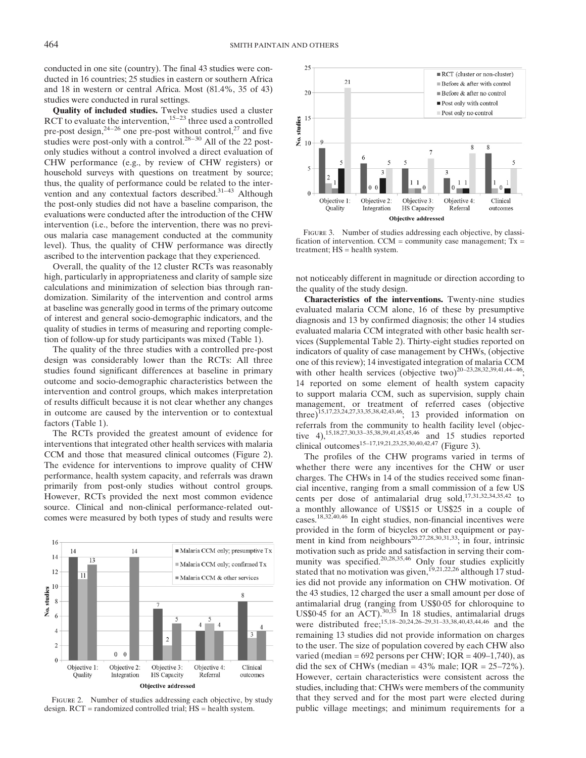conducted in one site (country). The final 43 studies were conducted in 16 countries; 25 studies in eastern or southern Africa and 18 in western or central Africa. Most (81.4%, 35 of 43) studies were conducted in rural settings.

Quality of included studies. Twelve studies used a cluster RCT to evaluate the intervention,<sup>15–23</sup> three used a controlled pre-post design,  $24-26$  one pre-post without control,  $27$  and five studies were post-only with a control.<sup>28–30</sup> All of the 22 postonly studies without a control involved a direct evaluation of CHW performance (e.g., by review of CHW registers) or household surveys with questions on treatment by source; thus, the quality of performance could be related to the intervention and any contextual factors described.<sup>31-43</sup> Although the post-only studies did not have a baseline comparison, the evaluations were conducted after the introduction of the CHW intervention (i.e., before the intervention, there was no previous malaria case management conducted at the community level). Thus, the quality of CHW performance was directly ascribed to the intervention package that they experienced.

Overall, the quality of the 12 cluster RCTs was reasonably high, particularly in appropriateness and clarity of sample size calculations and minimization of selection bias through randomization. Similarity of the intervention and control arms at baseline was generally good in terms of the primary outcome of interest and general socio-demographic indicators, and the quality of studies in terms of measuring and reporting completion of follow-up for study participants was mixed (Table 1).

The quality of the three studies with a controlled pre-post design was considerably lower than the RCTs: All three studies found significant differences at baseline in primary outcome and socio-demographic characteristics between the intervention and control groups, which makes interpretation of results difficult because it is not clear whether any changes in outcome are caused by the intervention or to contextual factors (Table 1).

The RCTs provided the greatest amount of evidence for interventions that integrated other health services with malaria CCM and those that measured clinical outcomes (Figure 2). The evidence for interventions to improve quality of CHW performance, health system capacity, and referrals was drawn primarily from post-only studies without control groups. However, RCTs provided the next most common evidence source. Clinical and non-clinical performance-related outcomes were measured by both types of study and results were



FIGURE 2. Number of studies addressing each objective, by study design. RCT = randomized controlled trial; HS = health system.



Figure 3. Number of studies addressing each objective, by classification of intervention. CCM = community case management;  $Tx =$ treatment; HS = health system.

not noticeably different in magnitude or direction according to the quality of the study design.

Characteristics of the interventions. Twenty-nine studies evaluated malaria CCM alone, 16 of these by presumptive diagnosis and 13 by confirmed diagnosis; the other 14 studies evaluated malaria CCM integrated with other basic health services (Supplemental Table 2). Thirty-eight studies reported on indicators of quality of case management by CHWs, (objective one of this review); 14 investigated integration of malaria CCM with other health services (objective two)<sup>20–23,28,32,39,41,44–46</sup>: 14 reported on some element of health system capacity to support malaria CCM, such as supervision, supply chain management, or treatment of referred cases (objective three)<sup>15,17,23,24,27,33,35,38,42,43,46</sup>; 13 provided information on referrals from the community to health facility level (objective 4),15,18,27,30,33–35,38,39,41,43,45,46 and 15 studies reported clinical outcomes15–17,19,21,23,25,30,40,42,47 (Figure 3).

The profiles of the CHW programs varied in terms of whether there were any incentives for the CHW or user charges. The CHWs in 14 of the studies received some financial incentive, ranging from a small commission of a few US cents per dose of antimalarial drug sold,<sup>17,31,32,34,35,42</sup> to a monthly allowance of US\$15 or US\$25 in a couple of cases.18,32,40,46 In eight studies, non-financial incentives were provided in the form of bicycles or other equipment or payment in kind from neighbours<sup>20,27,28,30,31,33</sup>; in four, intrinsic motivation such as pride and satisfaction in serving their community was specified.<sup>20,28,35,46</sup> Only four studies explicitly stated that no motivation was given,<sup>19,21,22,26</sup> although 17 studies did not provide any information on CHW motivation. Of the 43 studies, 12 charged the user a small amount per dose of antimalarial drug (ranging from US\$0·05 for chloroquine to US\$0.45 for an  $\text{ACT}$ <sup>30,35</sup> In 18 studies, antimalarial drugs were distributed free;<sup>15,18–20,24,26–29,31–33,38,40,43,44,46</sup> and the remaining 13 studies did not provide information on charges to the user. The size of population covered by each CHW also varied (median =  $692$  persons per CHW; IQR =  $409-1,740$ ), as did the sex of CHWs (median =  $43\%$  male; IQR =  $25-72\%$ ). However, certain characteristics were consistent across the studies, including that: CHWs were members of the community that they served and for the most part were elected during public village meetings; and minimum requirements for a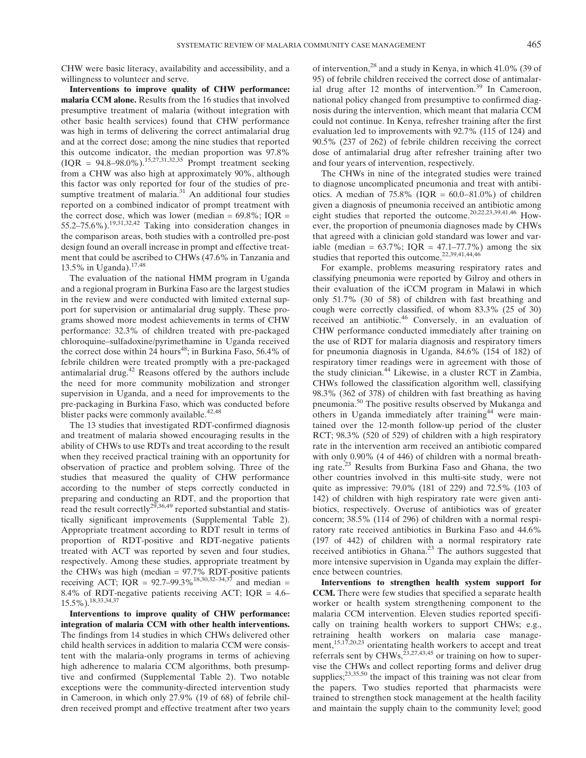CHW were basic literacy, availability and accessibility, and a willingness to volunteer and serve.

Interventions to improve quality of CHW performance: malaria CCM alone. Results from the 16 studies that involved presumptive treatment of malaria (without integration with other basic health services) found that CHW performance was high in terms of delivering the correct antimalarial drug and at the correct dose; among the nine studies that reported this outcome indicator, the median proportion was 97.8%  $(IQR = 94.8-98.0\%)$ .<sup>15,27,31,32,35</sup> Prompt treatment seeking from a CHW was also high at approximately 90%, although this factor was only reported for four of the studies of presumptive treatment of malaria. $31$  An additional four studies reported on a combined indicator of prompt treatment with the correct dose, which was lower (median =  $69.8\%$ ; IQR =  $55.2-75.6\%$ ).<sup>19,31,32,42</sup> Taking into consideration changes in the comparison areas, both studies with a controlled pre-post design found an overall increase in prompt and effective treatment that could be ascribed to CHWs (47.6% in Tanzania and 13.5% in Uganda).17,48

The evaluation of the national HMM program in Uganda and a regional program in Burkina Faso are the largest studies in the review and were conducted with limited external support for supervision or antimalarial drug supply. These programs showed more modest achievements in terms of CHW performance: 32.3% of children treated with pre-packaged chloroquine–sulfadoxine/pyrimethamine in Uganda received the correct dose within 24 hours<sup>48</sup>; in Burkina Faso, 56.4% of febrile children were treated promptly with a pre-packaged antimalarial drug. $42$  Reasons offered by the authors include the need for more community mobilization and stronger supervision in Uganda, and a need for improvements to the pre-packaging in Burkina Faso, which was conducted before blister packs were commonly available.<sup>42,48</sup>

The 13 studies that investigated RDT-confirmed diagnosis and treatment of malaria showed encouraging results in the ability of CHWs to use RDTs and treat according to the result when they received practical training with an opportunity for observation of practice and problem solving. Three of the studies that measured the quality of CHW performance according to the number of steps correctly conducted in preparing and conducting an RDT, and the proportion that read the result correctly<sup>29,36,49</sup> reported substantial and statistically significant improvements (Supplemental Table 2). Appropriate treatment according to RDT result in terms of proportion of RDT-positive and RDT-negative patients treated with ACT was reported by seven and four studies, respectively. Among these studies, appropriate treatment by the CHWs was high (median = 97.7% RDT-positive patients receiving ACT; IQR =  $92.7-99.3\%$ <sup>18,30,32-34,37</sup> and median = 8.4% of RDT-negative patients receiving ACT; IQR = 4.6– 15.5%).18,33,34,37

Interventions to improve quality of CHW performance: integration of malaria CCM with other health interventions. The findings from 14 studies in which CHWs delivered other child health services in addition to malaria CCM were consistent with the malaria-only programs in terms of achieving high adherence to malaria CCM algorithms, both presumptive and confirmed (Supplemental Table 2). Two notable exceptions were the community-directed intervention study in Cameroon, in which only 27.9% (19 of 68) of febrile children received prompt and effective treatment after two years of intervention,28 and a study in Kenya, in which 41.0% (39 of 95) of febrile children received the correct dose of antimalarial drug after 12 months of intervention.<sup>39</sup> In Cameroon, national policy changed from presumptive to confirmed diagnosis during the intervention, which meant that malaria CCM could not continue. In Kenya, refresher training after the first evaluation led to improvements with 92.7% (115 of 124) and 90.5% (237 of 262) of febrile children receiving the correct dose of antimalarial drug after refresher training after two and four years of intervention, respectively.

The CHWs in nine of the integrated studies were trained to diagnose uncomplicated pneumonia and treat with antibiotics. A median of  $75.8\%$  (IQR =  $60.0-81.0\%$ ) of children given a diagnosis of pneumonia received an antibiotic among eight studies that reported the outcome.20,22,23,39,41,46 However, the proportion of pneumonia diagnoses made by CHWs that agreed with a clinician gold standard was lower and variable (median =  $63.7\%$ ; IQR =  $47.1 - 77.7\%$ ) among the six studies that reported this outcome.<sup>22,39,41,44,46</sup>

For example, problems measuring respiratory rates and classifying pneumonia were reported by Gilroy and others in their evaluation of the iCCM program in Malawi in which only 51.7% (30 of 58) of children with fast breathing and cough were correctly classified, of whom 83.3% (25 of 30) received an antibiotic.<sup>46</sup> Conversely, in an evaluation of CHW performance conducted immediately after training on the use of RDT for malaria diagnosis and respiratory timers for pneumonia diagnosis in Uganda, 84.6% (154 of 182) of respiratory timer readings were in agreement with those of the study clinician.<sup>44</sup> Likewise, in a cluster RCT in Zambia, CHWs followed the classification algorithm well, classifying 98.3% (362 of 378) of children with fast breathing as having pneumonia.50 The positive results observed by Mukanga and others in Uganda immediately after training<sup>44</sup> were maintained over the 12-month follow-up period of the cluster RCT; 98.3% (520 of 529) of children with a high respiratory rate in the intervention arm received an antibiotic compared with only 0.90% (4 of 446) of children with a normal breathing rate.23 Results from Burkina Faso and Ghana, the two other countries involved in this multi-site study, were not quite as impressive: 79.0% (181 of 229) and 72.5% (103 of 142) of children with high respiratory rate were given antibiotics, respectively. Overuse of antibiotics was of greater concern; 38.5% (114 of 296) of children with a normal respiratory rate received antibiotics in Burkina Faso and 44.6% (197 of 442) of children with a normal respiratory rate received antibiotics in Ghana.23 The authors suggested that more intensive supervision in Uganda may explain the difference between countries.

Interventions to strengthen health system support for CCM. There were few studies that specified a separate health worker or health system strengthening component to the malaria CCM intervention. Eleven studies reported specifically on training health workers to support CHWs; e.g., retraining health workers on malaria case management, $15,17,20,23$  orientating health workers to accept and treat referrals sent by CHWs,  $^{23,27,43,45}$  or training on how to supervise the CHWs and collect reporting forms and deliver drug supplies;<sup>23,35,50</sup> the impact of this training was not clear from the papers. Two studies reported that pharmacists were trained to strengthen stock management at the health facility and maintain the supply chain to the community level; good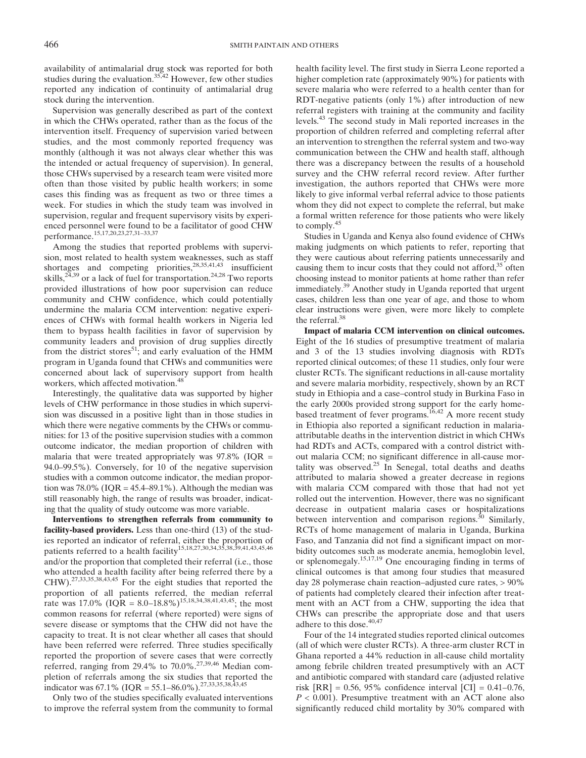availability of antimalarial drug stock was reported for both studies during the evaluation.<sup>35,42</sup> However, few other studies reported any indication of continuity of antimalarial drug stock during the intervention.

Supervision was generally described as part of the context in which the CHWs operated, rather than as the focus of the intervention itself. Frequency of supervision varied between studies, and the most commonly reported frequency was monthly (although it was not always clear whether this was the intended or actual frequency of supervision). In general, those CHWs supervised by a research team were visited more often than those visited by public health workers; in some cases this finding was as frequent as two or three times a week. For studies in which the study team was involved in supervision, regular and frequent supervisory visits by experienced personnel were found to be a facilitator of good CHW performance.15,17,20,23,27,31–33,37

Among the studies that reported problems with supervision, most related to health system weaknesses, such as staff shortages and competing priorities,  $28,35,41,43$  insufficient skills,<sup>24,39</sup> or a lack of fuel for transportation.<sup>24,28</sup> Two reports provided illustrations of how poor supervision can reduce community and CHW confidence, which could potentially undermine the malaria CCM intervention: negative experiences of CHWs with formal health workers in Nigeria led them to bypass health facilities in favor of supervision by community leaders and provision of drug supplies directly from the district stores<sup>51</sup>; and early evaluation of the HMM program in Uganda found that CHWs and communities were concerned about lack of supervisory support from health workers, which affected motivation.<sup>48</sup>

Interestingly, the qualitative data was supported by higher levels of CHW performance in those studies in which supervision was discussed in a positive light than in those studies in which there were negative comments by the CHWs or communities: for 13 of the positive supervision studies with a common outcome indicator, the median proportion of children with malaria that were treated appropriately was  $97.8\%$  (IQR = 94.0–99.5%). Conversely, for 10 of the negative supervision studies with a common outcome indicator, the median proportion was  $78.0\%$  (IQR =  $45.4$ – $89.1\%$ ). Although the median was still reasonably high, the range of results was broader, indicating that the quality of study outcome was more variable.

Interventions to strengthen referrals from community to facility-based providers. Less than one-third (13) of the studies reported an indicator of referral, either the proportion of patients referred to a health facility<sup>15,18,27,30,34,35,38,39,41,43,45,46</sup> and/or the proportion that completed their referral (i.e., those who attended a health facility after being referred there by a CHW).27,33,35,38,43,45 For the eight studies that reported the proportion of all patients referred, the median referral rate was 17.0% (IQR = 8.0–18.8%)<sup>15,18,34,38,41,43,45</sup>; the most common reasons for referral (where reported) were signs of severe disease or symptoms that the CHW did not have the capacity to treat. It is not clear whether all cases that should have been referred were referred. Three studies specifically reported the proportion of severe cases that were correctly referred, ranging from 29.4% to  $70.0\%$ <sup>27,39,46</sup> Median completion of referrals among the six studies that reported the indicator was  $67.1\%$  (IQR = 55.1–86.0%).<sup>27,33,35,38,43,45</sup>

Only two of the studies specifically evaluated interventions to improve the referral system from the community to formal health facility level. The first study in Sierra Leone reported a higher completion rate (approximately 90%) for patients with severe malaria who were referred to a health center than for RDT-negative patients (only 1%) after introduction of new referral registers with training at the community and facility levels.<sup>43</sup> The second study in Mali reported increases in the proportion of children referred and completing referral after an intervention to strengthen the referral system and two-way communication between the CHW and health staff, although there was a discrepancy between the results of a household survey and the CHW referral record review. After further investigation, the authors reported that CHWs were more likely to give informal verbal referral advice to those patients whom they did not expect to complete the referral, but make a formal written reference for those patients who were likely to comply.45

Studies in Uganda and Kenya also found evidence of CHWs making judgments on which patients to refer, reporting that they were cautious about referring patients unnecessarily and causing them to incur costs that they could not afford, $35$  often choosing instead to monitor patients at home rather than refer immediately.39 Another study in Uganda reported that urgent cases, children less than one year of age, and those to whom clear instructions were given, were more likely to complete the referral.<sup>38</sup>

Impact of malaria CCM intervention on clinical outcomes. Eight of the 16 studies of presumptive treatment of malaria and 3 of the 13 studies involving diagnosis with RDTs reported clinical outcomes; of these 11 studies, only four were cluster RCTs. The significant reductions in all-cause mortality and severe malaria morbidity, respectively, shown by an RCT study in Ethiopia and a case–control study in Burkina Faso in the early 2000s provided strong support for the early homebased treatment of fever programs.<sup>16,42</sup> A more recent study in Ethiopia also reported a significant reduction in malariaattributable deaths in the intervention district in which CHWs had RDTs and ACTs, compared with a control district without malaria CCM; no significant difference in all-cause mortality was observed.<sup>25</sup> In Senegal, total deaths and deaths attributed to malaria showed a greater decrease in regions with malaria CCM compared with those that had not yet rolled out the intervention. However, there was no significant decrease in outpatient malaria cases or hospitalizations between intervention and comparison regions.<sup>30</sup> Similarly, RCTs of home management of malaria in Uganda, Burkina Faso, and Tanzania did not find a significant impact on morbidity outcomes such as moderate anemia, hemoglobin level, or splenomegaly.15,17,19 One encouraging finding in terms of clinical outcomes is that among four studies that measured day 28 polymerase chain reaction–adjusted cure rates, > 90% of patients had completely cleared their infection after treatment with an ACT from a CHW, supporting the idea that CHWs can prescribe the appropriate dose and that users adhere to this dose. $40,47$ 

Four of the 14 integrated studies reported clinical outcomes (all of which were cluster RCTs). A three-arm cluster RCT in Ghana reported a 44% reduction in all-cause child mortality among febrile children treated presumptively with an ACT and antibiotic compared with standard care (adjusted relative risk  $[RR] = 0.56, 95\%$  confidence interval  $[CI] = 0.41 - 0.76$ ,  $P < 0.001$ ). Presumptive treatment with an ACT alone also significantly reduced child mortality by 30% compared with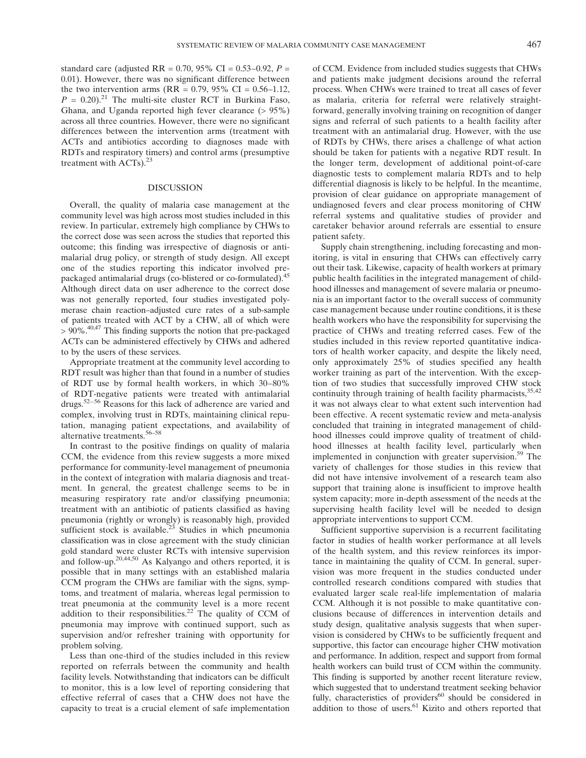standard care (adjusted RR = 0.70, 95% CI = 0.53–0.92,  $P =$ 0.01). However, there was no significant difference between the two intervention arms (RR =  $0.79$ , 95% CI =  $0.56-1.12$ ,  $P = 0.20$ .<sup>21</sup> The multi-site cluster RCT in Burkina Faso, Ghana, and Uganda reported high fever clearance (> 95%) across all three countries. However, there were no significant differences between the intervention arms (treatment with ACTs and antibiotics according to diagnoses made with RDTs and respiratory timers) and control arms (presumptive treatment with ACTs).<sup>23</sup>

### DISCUSSION

Overall, the quality of malaria case management at the community level was high across most studies included in this review. In particular, extremely high compliance by CHWs to the correct dose was seen across the studies that reported this outcome; this finding was irrespective of diagnosis or antimalarial drug policy, or strength of study design. All except one of the studies reporting this indicator involved prepackaged antimalarial drugs (co-blistered or co-formulated).45 Although direct data on user adherence to the correct dose was not generally reported, four studies investigated polymerase chain reaction–adjusted cure rates of a sub-sample of patients treated with ACT by a CHW, all of which were  $> 90\%$ <sup>40,47</sup> This finding supports the notion that pre-packaged ACTs can be administered effectively by CHWs and adhered to by the users of these services.

Appropriate treatment at the community level according to RDT result was higher than that found in a number of studies of RDT use by formal health workers, in which 30–80% of RDT-negative patients were treated with antimalarial drugs.52–<sup>56</sup> Reasons for this lack of adherence are varied and complex, involving trust in RDTs, maintaining clinical reputation, managing patient expectations, and availability of alternative treatments.56–<sup>58</sup>

In contrast to the positive findings on quality of malaria CCM, the evidence from this review suggests a more mixed performance for community-level management of pneumonia in the context of integration with malaria diagnosis and treatment. In general, the greatest challenge seems to be in measuring respiratory rate and/or classifying pneumonia; treatment with an antibiotic of patients classified as having pneumonia (rightly or wrongly) is reasonably high, provided sufficient stock is available.<sup>23</sup> Studies in which pneumonia classification was in close agreement with the study clinician gold standard were cluster RCTs with intensive supervision and follow-up. $20,44,50$  As Kalyango and others reported, it is possible that in many settings with an established malaria CCM program the CHWs are familiar with the signs, symptoms, and treatment of malaria, whereas legal permission to treat pneumonia at the community level is a more recent addition to their responsibilities.<sup>22</sup> The quality of CCM of pneumonia may improve with continued support, such as supervision and/or refresher training with opportunity for problem solving.

Less than one-third of the studies included in this review reported on referrals between the community and health facility levels. Notwithstanding that indicators can be difficult to monitor, this is a low level of reporting considering that effective referral of cases that a CHW does not have the capacity to treat is a crucial element of safe implementation of CCM. Evidence from included studies suggests that CHWs and patients make judgment decisions around the referral process. When CHWs were trained to treat all cases of fever as malaria, criteria for referral were relatively straightforward, generally involving training on recognition of danger signs and referral of such patients to a health facility after treatment with an antimalarial drug. However, with the use of RDTs by CHWs, there arises a challenge of what action should be taken for patients with a negative RDT result. In the longer term, development of additional point-of-care diagnostic tests to complement malaria RDTs and to help differential diagnosis is likely to be helpful. In the meantime, provision of clear guidance on appropriate management of undiagnosed fevers and clear process monitoring of CHW referral systems and qualitative studies of provider and caretaker behavior around referrals are essential to ensure patient safety.

Supply chain strengthening, including forecasting and monitoring, is vital in ensuring that CHWs can effectively carry out their task. Likewise, capacity of health workers at primary public health facilities in the integrated management of childhood illnesses and management of severe malaria or pneumonia is an important factor to the overall success of community case management because under routine conditions, it is these health workers who have the responsibility for supervising the practice of CHWs and treating referred cases. Few of the studies included in this review reported quantitative indicators of health worker capacity, and despite the likely need, only approximately 25% of studies specified any health worker training as part of the intervention. With the exception of two studies that successfully improved CHW stock continuity through training of health facility pharmacists, 35,42 it was not always clear to what extent such intervention had been effective. A recent systematic review and meta-analysis concluded that training in integrated management of childhood illnesses could improve quality of treatment of childhood illnesses at health facility level, particularly when implemented in conjunction with greater supervision.<sup>59</sup> The variety of challenges for those studies in this review that did not have intensive involvement of a research team also support that training alone is insufficient to improve health system capacity; more in-depth assessment of the needs at the supervising health facility level will be needed to design appropriate interventions to support CCM.

Sufficient supportive supervision is a recurrent facilitating factor in studies of health worker performance at all levels of the health system, and this review reinforces its importance in maintaining the quality of CCM. In general, supervision was more frequent in the studies conducted under controlled research conditions compared with studies that evaluated larger scale real-life implementation of malaria CCM. Although it is not possible to make quantitative conclusions because of differences in intervention details and study design, qualitative analysis suggests that when supervision is considered by CHWs to be sufficiently frequent and supportive, this factor can encourage higher CHW motivation and performance. In addition, respect and support from formal health workers can build trust of CCM within the community. This finding is supported by another recent literature review, which suggested that to understand treatment seeking behavior fully, characteristics of providers $60$  should be considered in addition to those of users.<sup>61</sup> Kizito and others reported that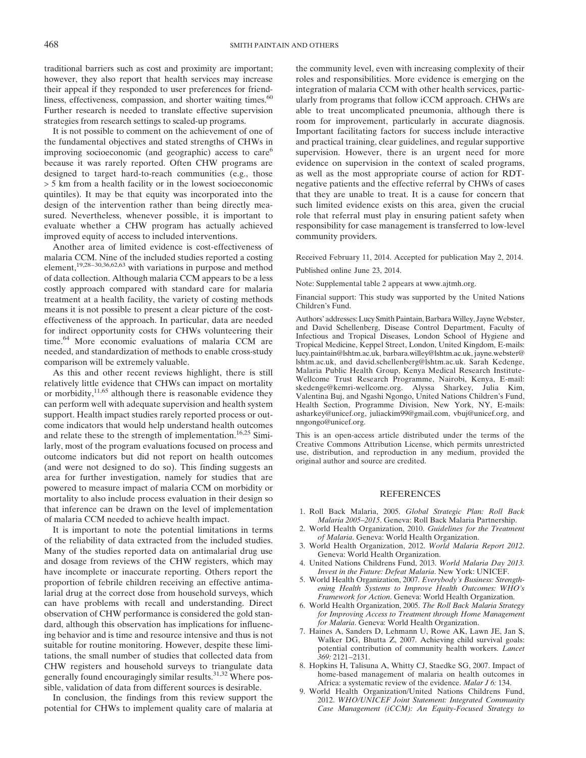traditional barriers such as cost and proximity are important; however, they also report that health services may increase their appeal if they responded to user preferences for friendliness, effectiveness, compassion, and shorter waiting times.<sup>60</sup> Further research is needed to translate effective supervision strategies from research settings to scaled-up programs.

It is not possible to comment on the achievement of one of the fundamental objectives and stated strengths of CHWs in improving socioeconomic (and geographic) access to care<sup>6</sup> because it was rarely reported. Often CHW programs are designed to target hard-to-reach communities (e.g., those > 5 km from a health facility or in the lowest socioeconomic quintiles). It may be that equity was incorporated into the design of the intervention rather than being directly measured. Nevertheless, whenever possible, it is important to evaluate whether a CHW program has actually achieved improved equity of access to included interventions.

Another area of limited evidence is cost-effectiveness of malaria CCM. Nine of the included studies reported a costing element,<sup>19,28–30,36,62,63</sup> with variations in purpose and method of data collection. Although malaria CCM appears to be a less costly approach compared with standard care for malaria treatment at a health facility, the variety of costing methods means it is not possible to present a clear picture of the costeffectiveness of the approach. In particular, data are needed for indirect opportunity costs for CHWs volunteering their time.<sup>64</sup> More economic evaluations of malaria CCM are needed, and standardization of methods to enable cross-study comparison will be extremely valuable.

As this and other recent reviews highlight, there is still relatively little evidence that CHWs can impact on mortality or morbidity,<sup>11,65</sup> although there is reasonable evidence they can perform well with adequate supervision and health system support. Health impact studies rarely reported process or outcome indicators that would help understand health outcomes and relate these to the strength of implementation.<sup>16,25</sup> Similarly, most of the program evaluations focused on process and outcome indicators but did not report on health outcomes (and were not designed to do so). This finding suggests an area for further investigation, namely for studies that are powered to measure impact of malaria CCM on morbidity or mortality to also include process evaluation in their design so that inference can be drawn on the level of implementation of malaria CCM needed to achieve health impact.

It is important to note the potential limitations in terms of the reliability of data extracted from the included studies. Many of the studies reported data on antimalarial drug use and dosage from reviews of the CHW registers, which may have incomplete or inaccurate reporting. Others report the proportion of febrile children receiving an effective antimalarial drug at the correct dose from household surveys, which can have problems with recall and understanding. Direct observation of CHW performance is considered the gold standard, although this observation has implications for influencing behavior and is time and resource intensive and thus is not suitable for routine monitoring. However, despite these limitations, the small number of studies that collected data from CHW registers and household surveys to triangulate data generally found encouragingly similar results.<sup>31,32</sup> Where possible, validation of data from different sources is desirable.

In conclusion, the findings from this review support the potential for CHWs to implement quality care of malaria at the community level, even with increasing complexity of their roles and responsibilities. More evidence is emerging on the integration of malaria CCM with other health services, particularly from programs that follow iCCM approach. CHWs are able to treat uncomplicated pneumonia, although there is room for improvement, particularly in accurate diagnosis. Important facilitating factors for success include interactive and practical training, clear guidelines, and regular supportive supervision. However, there is an urgent need for more evidence on supervision in the context of scaled programs, as well as the most appropriate course of action for RDTnegative patients and the effective referral by CHWs of cases that they are unable to treat. It is a cause for concern that such limited evidence exists on this area, given the crucial role that referral must play in ensuring patient safety when responsibility for case management is transferred to low-level community providers.

Received February 11, 2014. Accepted for publication May 2, 2014.

Published online June 23, 2014.

Note: Supplemental table 2 appears at www.ajtmh.org.

Financial support: This study was supported by the United Nations Children's Fund.

Authors' addresses: Lucy Smith Paintain, Barbara Willey, Jayne Webster, and David Schellenberg, Disease Control Department, Faculty of Infectious and Tropical Diseases, London School of Hygiene and Tropical Medicine, Keppel Street, London, United Kingdom, E-mails: lucy.paintain@lshtm.ac.uk, barbara.willey@lshtm.ac.uk, jayne.webster@ lshtm.ac.uk, and david.schellenberg@lshtm.ac.uk. Sarah Kedenge, Malaria Public Health Group, Kenya Medical Research Institute-Wellcome Trust Research Programme, Nairobi, Kenya, E-mail: skedenge@kemri-wellcome.org. Alyssa Sharkey, Julia Kim, Valentina Buj, and Ngashi Ngongo, United Nations Children's Fund, Health Section, Programme Division, New York, NY, E-mails: asharkey@unicef.org, juliackim99@gmail.com, vbuj@unicef.org, and nngongo@unicef.org.

This is an open-access article distributed under the terms of the [Creative Commons Attribution License](http://creativecommons.org/licenses/by/4.0/), which permits unrestricted use, distribution, and reproduction in any medium, provided the original author and source are credited.

#### REFERENCES

- 1. Roll Back Malaria, 2005. Global Strategic Plan: Roll Back Malaria 2005–2015. Geneva: Roll Back Malaria Partnership.
- 2. World Health Organization, 2010. Guidelines for the Treatment of Malaria. Geneva: World Health Organization.
- 3. World Health Organization, 2012. World Malaria Report 2012. Geneva: World Health Organization.
- 4. United Nations Childrens Fund, 2013. World Malaria Day 2013. Invest in the Future: Defeat Malaria. New York: UNICEF.
- 5. World Health Organization, 2007. Everybody's Business: Strengthening Health Systems to Improve Health Outcomes: WHO's Framework for Action. Geneva: World Health Organization.
- 6. World Health Organization, 2005. The Roll Back Malaria Strategy for Improving Access to Treatment through Home Management for Malaria. Geneva: World Health Organization.
- 7. Haines A, Sanders D, Lehmann U, Rowe AK, Lawn JE, Jan S, Walker DG, Bhutta Z, 2007. Achieving child survival goals: potential contribution of community health workers. Lancet 369: 2121–2131.
- 8. Hopkins H, Talisuna A, Whitty CJ, Staedke SG, 2007. Impact of home-based management of malaria on health outcomes in Africa: a systematic review of the evidence. Malar J 6: 134.
- 9. World Health Organization/United Nations Childrens Fund, 2012. WHO/UNICEF Joint Statement: Integrated Community Case Management (iCCM): An Equity-Focused Strategy to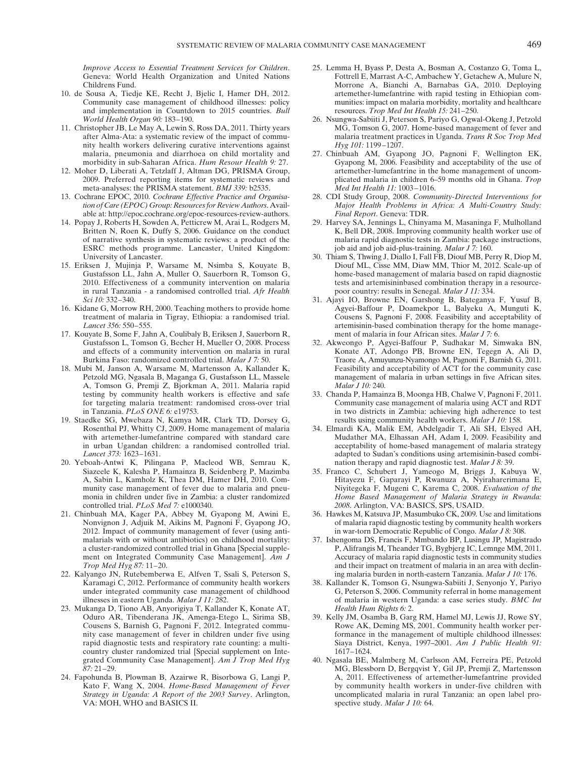Improve Access to Essential Treatment Services for Children. Geneva: World Health Organization and United Nations Childrens Fund.

- 10. de Sousa A, Tiedje KE, Recht J, Bjelic I, Hamer DH, 2012. Community case management of childhood illnesses: policy and implementation in Countdown to 2015 countries. Bull World Health Organ 90: 183–190.
- 11. Christopher JB, Le May A, Lewin S, Ross DA, 2011. Thirty years after Alma-Ata: a systematic review of the impact of community health workers delivering curative interventions against malaria, pneumonia and diarrhoea on child mortality and morbidity in sub-Saharan Africa. Hum Resour Health 9: 27.
- 12. Moher D, Liberati A, Tetzlaff J, Altman DG, PRISMA Group, 2009. Preferred reporting items for systematic reviews and meta-analyses: the PRISMA statement. BMJ 339: b2535.
- 13. Cochrane EPOC, 2010. Cochrane Effective Practice and Organisation of Care (EPOC) Group: Resources for Review Authors. Available at: http://epoc.cochrane.org/epoc-resources-review-authors.
- 14. Popay J, Roberts H, Sowden A, Petticrew M, Arai L, Rodgers M, Britten N, Roen K, Duffy S, 2006. Guidance on the conduct of narrative synthesis in systematic reviews: a product of the ESRC methods programme. Lancaster, United Kingdom: University of Lancaster.
- 15. Eriksen J, Mujinja P, Warsame M, Nsimba S, Kouyate B, Gustafsson LL, Jahn A, Muller O, Sauerborn R, Tomson G, 2010. Effectiveness of a community intervention on malaria in rural Tanzania - a randomised controlled trial. Afr Health Sci 10: 332–340.
- 16. Kidane G, Morrow RH, 2000. Teaching mothers to provide home treatment of malaria in Tigray, Ethiopia: a randomised trial. Lancet 356: 550–555.
- 17. Kouyate B, Some F, Jahn A, Coulibaly B, Eriksen J, Sauerborn R, Gustafsson L, Tomson G, Becher H, Mueller O, 2008. Process and effects of a community intervention on malaria in rural Burkina Faso: randomized controlled trial. Malar J 7: 50.
- 18. Mubi M, Janson A, Warsame M, Martensson A, Kallander K, Petzold MG, Ngasala B, Maganga G, Gustafsson LL, Massele A, Tomson G, Premji Z, Bjorkman A, 2011. Malaria rapid testing by community health workers is effective and safe for targeting malaria treatment: randomised cross-over trial in Tanzania. PLoS ONE 6: e19753.
- 19. Staedke SG, Mwebaza N, Kamya MR, Clark TD, Dorsey G, Rosenthal PJ, Whitty CJ, 2009. Home management of malaria with artemether-lumefantrine compared with standard care in urban Ugandan children: a randomised controlled trial. Lancet 373: 1623–1631.
- 20. Yeboah-Antwi K, Pilingana P, Macleod WB, Semrau K, Siazeele K, Kalesha P, Hamainza B, Seidenberg P, Mazimba A, Sabin L, Kamholz K, Thea DM, Hamer DH, 2010. Community case management of fever due to malaria and pneumonia in children under five in Zambia: a cluster randomized controlled trial. PLoS Med 7: e1000340.
- 21. Chinbuah MA, Kager PA, Abbey M, Gyapong M, Awini E, Nonvignon J, Adjuik M, Aikins M, Pagnoni F, Gyapong JO, 2012. Impact of community management of fever (using antimalarials with or without antibiotics) on childhood mortality: a cluster-randomized controlled trial in Ghana [Special supplement on Integrated Community Case Management]. Am J Trop Med Hyg 87: 11–20.
- 22. Kalyango JN, Rutebemberwa E, Alfven T, Ssali S, Peterson S, Karamagi C, 2012. Performance of community health workers under integrated community case management of childhood illnesses in eastern Uganda. Malar J 11: 282.
- 23. Mukanga D, Tiono AB, Anyorigiya T, Kallander K, Konate AT, Oduro AR, Tibenderana JK, Amenga-Etego L, Sirima SB, Cousens S, Barnish G, Pagnoni F, 2012. Integrated community case management of fever in children under five using rapid diagnostic tests and respiratory rate counting: a multicountry cluster randomized trial [Special supplement on Integrated Community Case Management]. Am J Trop Med Hyg 87: 21–29.
- 24. Fapohunda B, Plowman B, Azairwe R, Bisorbowa G, Langi P, Kato F, Wang X, 2004. Home-Based Management of Fever Strategy in Uganda: A Report of the 2003 Survey. Arlington, VA: MOH, WHO and BASICS II.
- 25. Lemma H, Byass P, Desta A, Bosman A, Costanzo G, Toma L, Fottrell E, Marrast A-C, Ambachew Y, Getachew A, Mulure N, Morrone A, Bianchi A, Barnabas GA, 2010. Deploying artemether-lumefantrine with rapid testing in Ethiopian communities: impact on malaria morbidity, mortality and healthcare resources. Trop Med Int Health 15: 241–250.
- 26. Nsungwa-Sabiiti J, Peterson S, Pariyo G, Ogwal-Okeng J, Petzold MG, Tomson G, 2007. Home-based management of fever and malaria treatment practices in Uganda. Trans R Soc Trop Med Hyg 101: 1199-1207.
- 27. Chinbuah AM, Gyapong JO, Pagnoni F, Wellington EK, Gyapong M, 2006. Feasibility and acceptability of the use of artemether-lumefantrine in the home management of uncomplicated malaria in children 6–59 months old in Ghana. Trop Med Int Health 11: 1003 –1016.
- 28. CDI Study Group, 2008. Community-Directed Interventions for Major Health Problems in Africa: A Multi-Country Study: Final Report. Geneva: TDR.
- 29. Harvey SA, Jennings L, Chinyama M, Masaninga F, Mulholland K, Bell DR, 2008. Improving community health worker use of malaria rapid diagnostic tests in Zambia: package instructions, job aid and job aid-plus-training. Malar J 7: 160.
- 30. Thiam S, Thwing J, Diallo I, Fall FB, Diouf MB, Perry R, Diop M, Diouf ML, Cisse MM, Diaw MM, Thior M, 2012. Scale-up of home-based management of malaria based on rapid diagnostic tests and artemisininbased combination therapy in a resourcepoor country: results in Senegal. Malar J 11: 334.
- 31. Ajayi IO, Browne EN, Garshong B, Bateganya F, Yusuf B, Agyei-Baffour P, Doamekpor L, Balyeku A, Munguti K, Cousens S, Pagnoni F, 2008. Feasibility and acceptability of artemisinin-based combination therapy for the home management of malaria in four African sites. Malar J 7: 6.
- 32. Akweongo P, Agyei-Baffour P, Sudhakar M, Simwaka BN, Konate AT, Adongo PB, Browne EN, Tegegn A, Ali D, Traore A, Amuyunzu-Nyamongo M, Pagnoni F, Barnish G, 2011. Feasibility and acceptability of ACT for the community case management of malaria in urban settings in five African sites. Malar J 10: 240.
- 33. Chanda P, Hamainza B, Moonga HB, Chalwe V, Pagnoni F, 2011. Community case management of malaria using ACT and RDT in two districts in Zambia: achieving high adherence to test results using community health workers. Malar J 10: 158.
- 34. Elmardi KA, Malik EM, Abdelgadir T, Ali SH, Elsyed AH, Mudather MA, Elhassan AH, Adam I, 2009. Feasibility and acceptability of home-based management of malaria strategy adapted to Sudan's conditions using artemisinin-based combination therapy and rapid diagnostic test. Malar J 8: 39.
- 35. Franco C, Schubert J, Yameogo M, Briggs J, Kabuya W, Hitayezu F, Gaparayi P, Rwanuza A, Nyiraharerimana E, Niyitegeka F, Mugeni C, Karema C, 2008. Evaluation of the Home Based Management of Malaria Strategy in Rwanda: 2008. Arlington, VA: BASICS, SPS, USAID.
- 36. Hawkes M, Katsuva JP, Masumbuko CK, 2009. Use and limitations of malaria rapid diagnostic testing by community health workers in war-torn Democratic Republic of Congo. Malar J 8: 308.
- 37. Ishengoma DS, Francis F, Mmbando BP, Lusingu JP, Magistrado P, Alifrangis M, Theander TG, Bygbjerg IC, Lemnge MM, 2011. Accuracy of malaria rapid diagnostic tests in community studies and their impact on treatment of malaria in an area with declining malaria burden in north-eastern Tanzania. Malar J 10: 176.
- 38. Kallander K, Tomson G, Nsungwa-Sabiiti J, Senyonjo Y, Pariyo G, Peterson S, 2006. Community referral in home management of malaria in western Uganda: a case series study. BMC Int Health Hum Rights 6: 2.
- 39. Kelly JM, Osamba B, Garg RM, Hamel MJ, Lewis JJ, Rowe SY, Rowe AK, Deming MS, 2001. Community health worker performance in the management of multiple childhood illnesses: Siaya District, Kenya, 1997–2001. Am J Public Health 91: 1617–1624.
- 40. Ngasala BE, Malmberg M, Carlsson AM, Ferreira PE, Petzold MG, Blessborn D, Bergqvist Y, Gil JP, Premji Z, Martensson A, 2011. Effectiveness of artemether-lumefantrine provided by community health workers in under-five children with uncomplicated malaria in rural Tanzania: an open label prospective study. Malar J 10: 64.